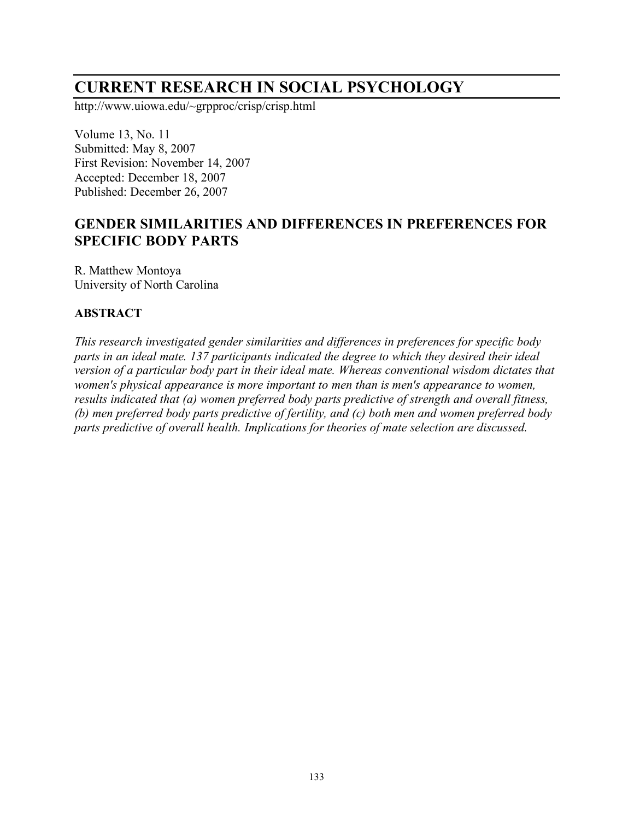# **CURRENT RESEARCH IN SOCIAL PSYCHOLOGY**

http://www.uiowa.edu/~grpproc/crisp/crisp.html

Volume 13, No. 11 Submitted: May 8, 2007 First Revision: November 14, 2007 Accepted: December 18, 2007 Published: December 26, 2007

# **GENDER SIMILARITIES AND DIFFERENCES IN PREFERENCES FOR SPECIFIC BODY PARTS**

R. Matthew Montoya University of North Carolina

#### **ABSTRACT**

*This research investigated gender similarities and differences in preferences for specific body parts in an ideal mate. 137 participants indicated the degree to which they desired their ideal version of a particular body part in their ideal mate. Whereas conventional wisdom dictates that women's physical appearance is more important to men than is men's appearance to women, results indicated that (a) women preferred body parts predictive of strength and overall fitness, (b) men preferred body parts predictive of fertility, and (c) both men and women preferred body parts predictive of overall health. Implications for theories of mate selection are discussed.*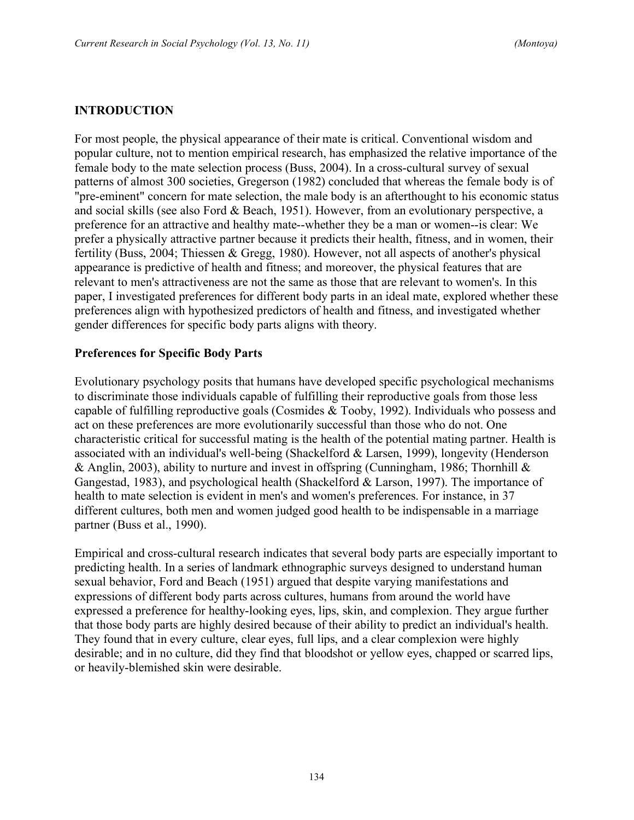#### **INTRODUCTION**

For most people, the physical appearance of their mate is critical. Conventional wisdom and popular culture, not to mention empirical research, has emphasized the relative importance of the female body to the mate selection process (Buss, 2004). In a cross-cultural survey of sexual patterns of almost 300 societies, Gregerson (1982) concluded that whereas the female body is of "pre-eminent" concern for mate selection, the male body is an afterthought to his economic status and social skills (see also Ford & Beach, 1951). However, from an evolutionary perspective, a preference for an attractive and healthy mate--whether they be a man or women--is clear: We prefer a physically attractive partner because it predicts their health, fitness, and in women, their fertility (Buss, 2004; Thiessen & Gregg, 1980). However, not all aspects of another's physical appearance is predictive of health and fitness; and moreover, the physical features that are relevant to men's attractiveness are not the same as those that are relevant to women's. In this paper, I investigated preferences for different body parts in an ideal mate, explored whether these preferences align with hypothesized predictors of health and fitness, and investigated whether gender differences for specific body parts aligns with theory.

#### **Preferences for Specific Body Parts**

Evolutionary psychology posits that humans have developed specific psychological mechanisms to discriminate those individuals capable of fulfilling their reproductive goals from those less capable of fulfilling reproductive goals (Cosmides & Tooby, 1992). Individuals who possess and act on these preferences are more evolutionarily successful than those who do not. One characteristic critical for successful mating is the health of the potential mating partner. Health is associated with an individual's well-being (Shackelford & Larsen, 1999), longevity (Henderson & Anglin, 2003), ability to nurture and invest in offspring (Cunningham, 1986; Thornhill  $\&$ Gangestad, 1983), and psychological health (Shackelford & Larson, 1997). The importance of health to mate selection is evident in men's and women's preferences. For instance, in 37 different cultures, both men and women judged good health to be indispensable in a marriage partner (Buss et al., 1990).

Empirical and cross-cultural research indicates that several body parts are especially important to predicting health. In a series of landmark ethnographic surveys designed to understand human sexual behavior, Ford and Beach (1951) argued that despite varying manifestations and expressions of different body parts across cultures, humans from around the world have expressed a preference for healthy-looking eyes, lips, skin, and complexion. They argue further that those body parts are highly desired because of their ability to predict an individual's health. They found that in every culture, clear eyes, full lips, and a clear complexion were highly desirable; and in no culture, did they find that bloodshot or yellow eyes, chapped or scarred lips, or heavily-blemished skin were desirable.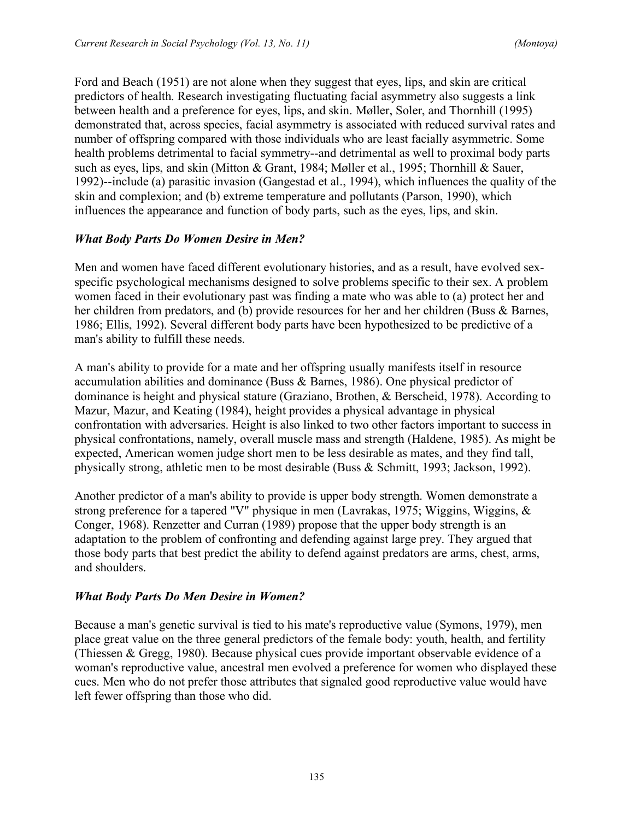Ford and Beach (1951) are not alone when they suggest that eyes, lips, and skin are critical predictors of health. Research investigating fluctuating facial asymmetry also suggests a link between health and a preference for eyes, lips, and skin. Møller, Soler, and Thornhill (1995) demonstrated that, across species, facial asymmetry is associated with reduced survival rates and number of offspring compared with those individuals who are least facially asymmetric. Some health problems detrimental to facial symmetry--and detrimental as well to proximal body parts such as eyes, lips, and skin (Mitton & Grant, 1984; Møller et al., 1995; Thornhill & Sauer, 1992)--include (a) parasitic invasion (Gangestad et al., 1994), which influences the quality of the skin and complexion; and (b) extreme temperature and pollutants (Parson, 1990), which influences the appearance and function of body parts, such as the eyes, lips, and skin.

## *What Body Parts Do Women Desire in Men?*

Men and women have faced different evolutionary histories, and as a result, have evolved sexspecific psychological mechanisms designed to solve problems specific to their sex. A problem women faced in their evolutionary past was finding a mate who was able to (a) protect her and her children from predators, and (b) provide resources for her and her children (Buss & Barnes, 1986; Ellis, 1992). Several different body parts have been hypothesized to be predictive of a man's ability to fulfill these needs.

A man's ability to provide for a mate and her offspring usually manifests itself in resource accumulation abilities and dominance (Buss & Barnes, 1986). One physical predictor of dominance is height and physical stature (Graziano, Brothen, & Berscheid, 1978). According to Mazur, Mazur, and Keating (1984), height provides a physical advantage in physical confrontation with adversaries. Height is also linked to two other factors important to success in physical confrontations, namely, overall muscle mass and strength (Haldene, 1985). As might be expected, American women judge short men to be less desirable as mates, and they find tall, physically strong, athletic men to be most desirable (Buss & Schmitt, 1993; Jackson, 1992).

Another predictor of a man's ability to provide is upper body strength. Women demonstrate a strong preference for a tapered "V" physique in men (Lavrakas, 1975; Wiggins, Wiggins, & Conger, 1968). Renzetter and Curran (1989) propose that the upper body strength is an adaptation to the problem of confronting and defending against large prey. They argued that those body parts that best predict the ability to defend against predators are arms, chest, arms, and shoulders.

### *What Body Parts Do Men Desire in Women?*

Because a man's genetic survival is tied to his mate's reproductive value (Symons, 1979), men place great value on the three general predictors of the female body: youth, health, and fertility (Thiessen & Gregg, 1980). Because physical cues provide important observable evidence of a woman's reproductive value, ancestral men evolved a preference for women who displayed these cues. Men who do not prefer those attributes that signaled good reproductive value would have left fewer offspring than those who did.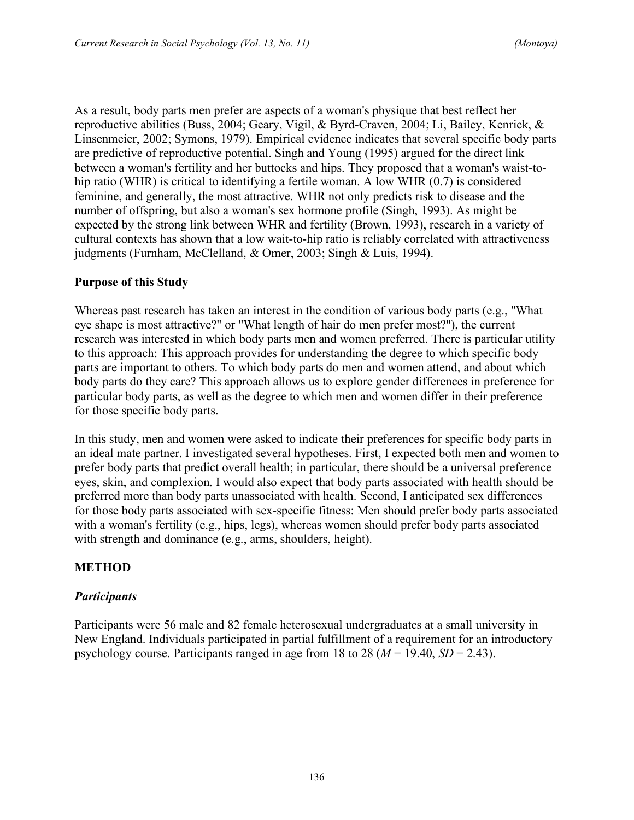As a result, body parts men prefer are aspects of a woman's physique that best reflect her reproductive abilities (Buss, 2004; Geary, Vigil, & Byrd-Craven, 2004; Li, Bailey, Kenrick, & Linsenmeier, 2002; Symons, 1979). Empirical evidence indicates that several specific body parts are predictive of reproductive potential. Singh and Young (1995) argued for the direct link between a woman's fertility and her buttocks and hips. They proposed that a woman's waist-tohip ratio (WHR) is critical to identifying a fertile woman. A low WHR (0.7) is considered feminine, and generally, the most attractive. WHR not only predicts risk to disease and the number of offspring, but also a woman's sex hormone profile (Singh, 1993). As might be expected by the strong link between WHR and fertility (Brown, 1993), research in a variety of cultural contexts has shown that a low wait-to-hip ratio is reliably correlated with attractiveness judgments (Furnham, McClelland, & Omer, 2003; Singh & Luis, 1994).

## **Purpose of this Study**

Whereas past research has taken an interest in the condition of various body parts (e.g., "What eye shape is most attractive?" or "What length of hair do men prefer most?"), the current research was interested in which body parts men and women preferred. There is particular utility to this approach: This approach provides for understanding the degree to which specific body parts are important to others. To which body parts do men and women attend, and about which body parts do they care? This approach allows us to explore gender differences in preference for particular body parts, as well as the degree to which men and women differ in their preference for those specific body parts.

In this study, men and women were asked to indicate their preferences for specific body parts in an ideal mate partner. I investigated several hypotheses. First, I expected both men and women to prefer body parts that predict overall health; in particular, there should be a universal preference eyes, skin, and complexion. I would also expect that body parts associated with health should be preferred more than body parts unassociated with health. Second, I anticipated sex differences for those body parts associated with sex-specific fitness: Men should prefer body parts associated with a woman's fertility (e.g., hips, legs), whereas women should prefer body parts associated with strength and dominance (e.g., arms, shoulders, height).

### **METHOD**

### *Participants*

Participants were 56 male and 82 female heterosexual undergraduates at a small university in New England. Individuals participated in partial fulfillment of a requirement for an introductory psychology course. Participants ranged in age from 18 to 28 ( $M = 19.40$ ,  $SD = 2.43$ ).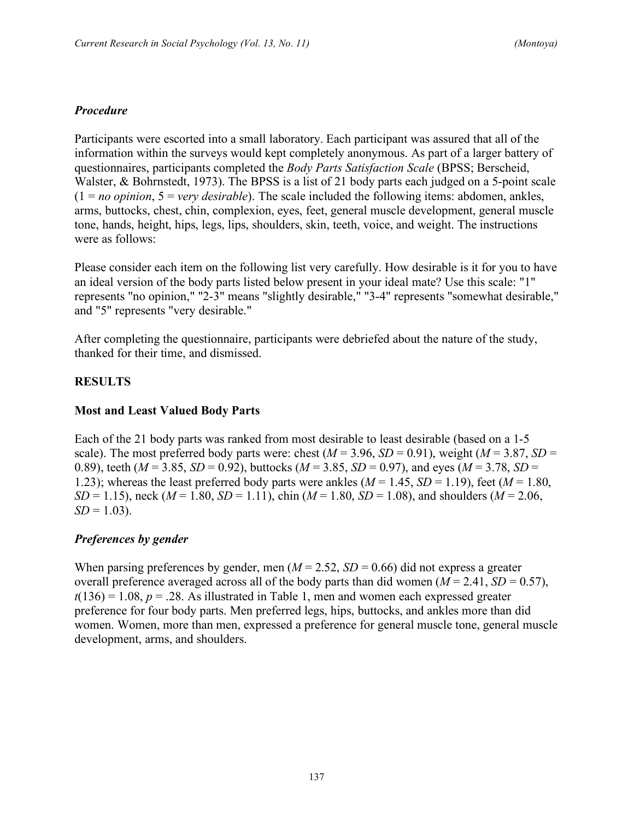### *Procedure*

Participants were escorted into a small laboratory. Each participant was assured that all of the information within the surveys would kept completely anonymous. As part of a larger battery of questionnaires, participants completed the *Body Parts Satisfaction Scale* (BPSS; Berscheid, Walster, & Bohrnstedt, 1973). The BPSS is a list of 21 body parts each judged on a 5-point scale  $(1 = no$  *opinion*,  $5 = \text{very}$  *desirable*). The scale included the following items: abdomen, ankles, arms, buttocks, chest, chin, complexion, eyes, feet, general muscle development, general muscle tone, hands, height, hips, legs, lips, shoulders, skin, teeth, voice, and weight. The instructions were as follows:

Please consider each item on the following list very carefully. How desirable is it for you to have an ideal version of the body parts listed below present in your ideal mate? Use this scale: "1" represents "no opinion," "2-3" means "slightly desirable," "3-4" represents "somewhat desirable," and "5" represents "very desirable."

After completing the questionnaire, participants were debriefed about the nature of the study, thanked for their time, and dismissed.

## **RESULTS**

### **Most and Least Valued Body Parts**

Each of the 21 body parts was ranked from most desirable to least desirable (based on a 1-5 scale). The most preferred body parts were: chest  $(M = 3.96, SD = 0.91)$ , weight  $(M = 3.87, SD = 0.91)$ 0.89), teeth ( $M = 3.85$ ,  $SD = 0.92$ ), buttocks ( $M = 3.85$ ,  $SD = 0.97$ ), and eyes ( $M = 3.78$ ,  $SD =$ 1.23); whereas the least preferred body parts were ankles  $(M = 1.45, SD = 1.19)$ , feet  $(M = 1.80,$ *SD* = 1.15), neck ( $M = 1.80$ ,  $SD = 1.11$ ), chin ( $M = 1.80$ ,  $SD = 1.08$ ), and shoulders ( $M = 2.06$ ,  $SD = 1.03$ .

### *Preferences by gender*

When parsing preferences by gender, men  $(M = 2.52, SD = 0.66)$  did not express a greater overall preference averaged across all of the body parts than did women  $(M = 2.41, SD = 0.57)$ ,  $t(136) = 1.08$ ,  $p = .28$ . As illustrated in Table 1, men and women each expressed greater preference for four body parts. Men preferred legs, hips, buttocks, and ankles more than did women. Women, more than men, expressed a preference for general muscle tone, general muscle development, arms, and shoulders.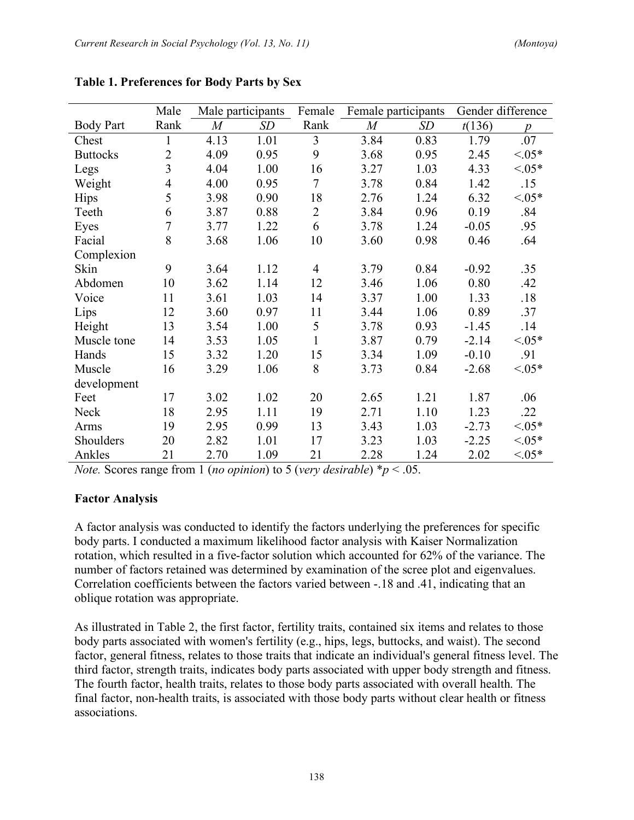|                  | Male           | Male participants |      | Female         | Female participants |      | Gender difference |                  |
|------------------|----------------|-------------------|------|----------------|---------------------|------|-------------------|------------------|
| <b>Body Part</b> | Rank           | M                 | SD   | Rank           | $\overline{M}$      | SD   | t(136)            | $\boldsymbol{p}$ |
| Chest            | 1              | 4.13              | 1.01 | $\overline{3}$ | 3.84                | 0.83 | 1.79              | .07              |
| <b>Buttocks</b>  | $\overline{2}$ | 4.09              | 0.95 | 9              | 3.68                | 0.95 | 2.45              | $< 0.05*$        |
| Legs             | $\overline{3}$ | 4.04              | 1.00 | 16             | 3.27                | 1.03 | 4.33              | $< 0.05*$        |
| Weight           | 4              | 4.00              | 0.95 | $\overline{7}$ | 3.78                | 0.84 | 1.42              | .15              |
| <b>Hips</b>      | 5              | 3.98              | 0.90 | 18             | 2.76                | 1.24 | 6.32              | $< 0.05*$        |
| Teeth            | 6              | 3.87              | 0.88 | $\overline{2}$ | 3.84                | 0.96 | 0.19              | .84              |
| Eyes             | $\overline{7}$ | 3.77              | 1.22 | 6              | 3.78                | 1.24 | $-0.05$           | .95              |
| Facial           | 8              | 3.68              | 1.06 | 10             | 3.60                | 0.98 | 0.46              | .64              |
| Complexion       |                |                   |      |                |                     |      |                   |                  |
| Skin             | 9              | 3.64              | 1.12 | $\overline{4}$ | 3.79                | 0.84 | $-0.92$           | .35              |
| Abdomen          | 10             | 3.62              | 1.14 | 12             | 3.46                | 1.06 | 0.80              | .42              |
| Voice            | 11             | 3.61              | 1.03 | 14             | 3.37                | 1.00 | 1.33              | .18              |
| Lips             | 12             | 3.60              | 0.97 | 11             | 3.44                | 1.06 | 0.89              | .37              |
| Height           | 13             | 3.54              | 1.00 | 5              | 3.78                | 0.93 | $-1.45$           | .14              |
| Muscle tone      | 14             | 3.53              | 1.05 | $\mathbf{1}$   | 3.87                | 0.79 | $-2.14$           | $< 0.05*$        |
| Hands            | 15             | 3.32              | 1.20 | 15             | 3.34                | 1.09 | $-0.10$           | .91              |
| Muscle           | 16             | 3.29              | 1.06 | 8              | 3.73                | 0.84 | $-2.68$           | $< 0.05*$        |
| development      |                |                   |      |                |                     |      |                   |                  |
| Feet             | 17             | 3.02              | 1.02 | 20             | 2.65                | 1.21 | 1.87              | .06              |
| Neck             | 18             | 2.95              | 1.11 | 19             | 2.71                | 1.10 | 1.23              | .22              |
| Arms             | 19             | 2.95              | 0.99 | 13             | 3.43                | 1.03 | $-2.73$           | ${<}05*$         |
| Shoulders        | 20             | 2.82              | 1.01 | 17             | 3.23                | 1.03 | $-2.25$           | $< 0.05*$        |
| Ankles           | 21             | 2.70              | 1.09 | 21             | 2.28                | 1.24 | 2.02              | ${<}05*$         |

**Table 1. Preferences for Body Parts by Sex**

*Note.* Scores range from 1 (*no opinion*) to 5 (*very desirable*)  $*_p$  < .05.

# **Factor Analysis**

A factor analysis was conducted to identify the factors underlying the preferences for specific body parts. I conducted a maximum likelihood factor analysis with Kaiser Normalization rotation, which resulted in a five-factor solution which accounted for 62% of the variance. The number of factors retained was determined by examination of the scree plot and eigenvalues. Correlation coefficients between the factors varied between -.18 and .41, indicating that an oblique rotation was appropriate.

As illustrated in Table 2, the first factor, fertility traits, contained six items and relates to those body parts associated with women's fertility (e.g., hips, legs, buttocks, and waist). The second factor, general fitness, relates to those traits that indicate an individual's general fitness level. The third factor, strength traits, indicates body parts associated with upper body strength and fitness. The fourth factor, health traits, relates to those body parts associated with overall health. The final factor, non-health traits, is associated with those body parts without clear health or fitness associations.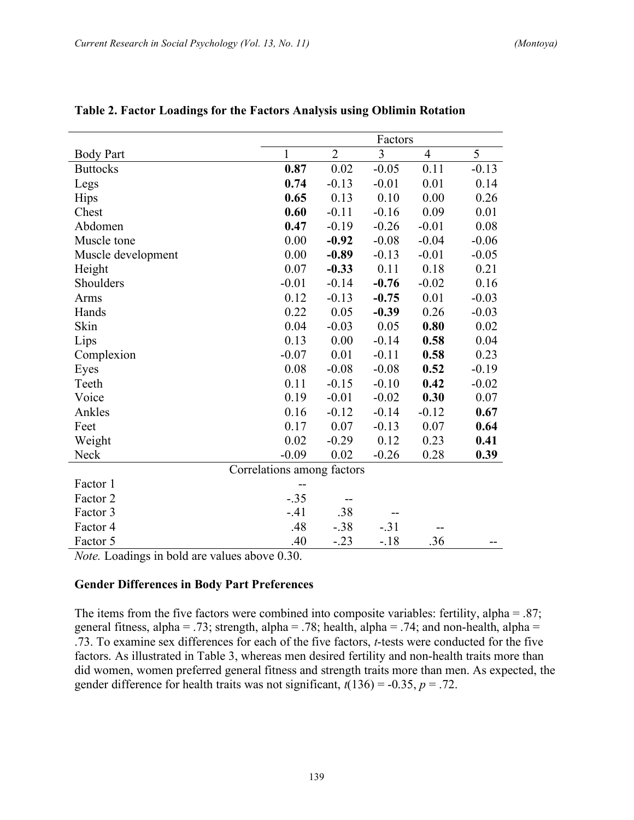|                    |                            | Factors        |         |                |         |  |  |
|--------------------|----------------------------|----------------|---------|----------------|---------|--|--|
| <b>Body Part</b>   | 1                          | $\overline{2}$ | 3       | $\overline{4}$ | 5       |  |  |
| <b>Buttocks</b>    | 0.87                       | $0.02\,$       | $-0.05$ | 0.11           | $-0.13$ |  |  |
| Legs               | 0.74                       | $-0.13$        | $-0.01$ | 0.01           | 0.14    |  |  |
| Hips               | 0.65                       | 0.13           | 0.10    | 0.00           | 0.26    |  |  |
| Chest              | 0.60                       | $-0.11$        | $-0.16$ | 0.09           | 0.01    |  |  |
| Abdomen            | 0.47                       | $-0.19$        | $-0.26$ | $-0.01$        | 0.08    |  |  |
| Muscle tone        | 0.00                       | $-0.92$        | $-0.08$ | $-0.04$        | $-0.06$ |  |  |
| Muscle development | 0.00                       | $-0.89$        | $-0.13$ | $-0.01$        | $-0.05$ |  |  |
| Height             | 0.07                       | $-0.33$        | 0.11    | 0.18           | 0.21    |  |  |
| Shoulders          | $-0.01$                    | $-0.14$        | $-0.76$ | $-0.02$        | 0.16    |  |  |
| Arms               | 0.12                       | $-0.13$        | $-0.75$ | 0.01           | $-0.03$ |  |  |
| Hands              | 0.22                       | 0.05           | $-0.39$ | 0.26           | $-0.03$ |  |  |
| Skin               | 0.04                       | $-0.03$        | 0.05    | 0.80           | 0.02    |  |  |
| Lips               | 0.13                       | 0.00           | $-0.14$ | 0.58           | 0.04    |  |  |
| Complexion         | $-0.07$                    | 0.01           | $-0.11$ | 0.58           | 0.23    |  |  |
| Eyes               | 0.08                       | $-0.08$        | $-0.08$ | 0.52           | $-0.19$ |  |  |
| Teeth              | 0.11                       | $-0.15$        | $-0.10$ | 0.42           | $-0.02$ |  |  |
| Voice              | 0.19                       | $-0.01$        | $-0.02$ | 0.30           | 0.07    |  |  |
| Ankles             | 0.16                       | $-0.12$        | $-0.14$ | $-0.12$        | 0.67    |  |  |
| Feet               | 0.17                       | 0.07           | $-0.13$ | 0.07           | 0.64    |  |  |
| Weight             | 0.02                       | $-0.29$        | 0.12    | 0.23           | 0.41    |  |  |
| Neck               | $-0.09$                    | 0.02           | $-0.26$ | 0.28           | 0.39    |  |  |
|                    | Correlations among factors |                |         |                |         |  |  |
| Factor 1           | --                         |                |         |                |         |  |  |
| Factor 2           | $-.35$                     | --             |         |                |         |  |  |
| Factor 3           | $-41$                      | .38            |         |                |         |  |  |
| Factor 4           | .48                        | $-.38$         | $-.31$  |                |         |  |  |
| Factor 5           | .40                        | $-.23$         | $-.18$  | .36            |         |  |  |

**Table 2. Factor Loadings for the Factors Analysis using Oblimin Rotation**

*Note.* Loadings in bold are values above 0.30.

#### **Gender Differences in Body Part Preferences**

The items from the five factors were combined into composite variables: fertility, alpha = .87; general fitness, alpha = .73; strength, alpha = .78; health, alpha = .74; and non-health, alpha = .73. To examine sex differences for each of the five factors, *t*-tests were conducted for the five factors. As illustrated in Table 3, whereas men desired fertility and non-health traits more than did women, women preferred general fitness and strength traits more than men. As expected, the gender difference for health traits was not significant,  $t(136) = -0.35$ ,  $p = .72$ .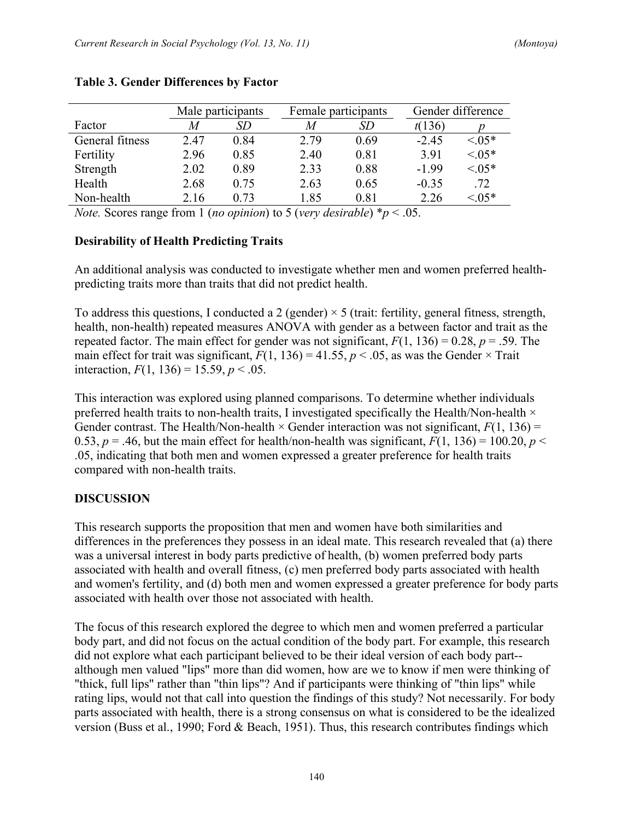|                 | Male participants |      | Female participants |      | Gender difference |           |
|-----------------|-------------------|------|---------------------|------|-------------------|-----------|
| Factor          | M                 | SD   | M                   | SD   | t(136)            |           |
| General fitness | 2.47              | 0.84 | 2.79                | 0.69 | $-2.45$           | $< 0.05*$ |
| Fertility       | 2.96              | 0.85 | 2.40                | 0.81 | 3.91              | $< 0.05*$ |
| Strength        | 2.02              | 0.89 | 2.33                | 0.88 | $-1.99$           | $< 0.05*$ |
| Health          | 2.68              | 0.75 | 2.63                | 0.65 | $-0.35$           | .72       |
| Non-health      | 2.16              | 0.73 | 1.85                | 0.81 | 2.26              | $< 0.5*$  |

#### **Table 3. Gender Differences by Factor**

*Note.* Scores range from 1 (*no opinion*) to 5 (*very desirable*)  $*_p$  < .05.

### **Desirability of Health Predicting Traits**

An additional analysis was conducted to investigate whether men and women preferred healthpredicting traits more than traits that did not predict health.

To address this questions, I conducted a 2 (gender)  $\times$  5 (trait: fertility, general fitness, strength, health, non-health) repeated measures ANOVA with gender as a between factor and trait as the repeated factor. The main effect for gender was not significant,  $F(1, 136) = 0.28$ ,  $p = .59$ . The main effect for trait was significant,  $F(1, 136) = 41.55$ ,  $p < .05$ , as was the Gender  $\times$  Trait interaction,  $F(1, 136) = 15.59$ ,  $p < .05$ .

This interaction was explored using planned comparisons. To determine whether individuals preferred health traits to non-health traits, I investigated specifically the Health/Non-health  $\times$ Gender contrast. The Health/Non-health  $\times$  Gender interaction was not significant,  $F(1, 136) =$ 0.53,  $p = 0.46$ , but the main effect for health/non-health was significant,  $F(1, 136) = 100.20$ ,  $p <$ .05, indicating that both men and women expressed a greater preference for health traits compared with non-health traits.

# **DISCUSSION**

This research supports the proposition that men and women have both similarities and differences in the preferences they possess in an ideal mate. This research revealed that (a) there was a universal interest in body parts predictive of health, (b) women preferred body parts associated with health and overall fitness, (c) men preferred body parts associated with health and women's fertility, and (d) both men and women expressed a greater preference for body parts associated with health over those not associated with health.

The focus of this research explored the degree to which men and women preferred a particular body part, and did not focus on the actual condition of the body part. For example, this research did not explore what each participant believed to be their ideal version of each body part- although men valued "lips" more than did women, how are we to know if men were thinking of "thick, full lips" rather than "thin lips"? And if participants were thinking of "thin lips" while rating lips, would not that call into question the findings of this study? Not necessarily. For body parts associated with health, there is a strong consensus on what is considered to be the idealized version (Buss et al., 1990; Ford & Beach, 1951). Thus, this research contributes findings which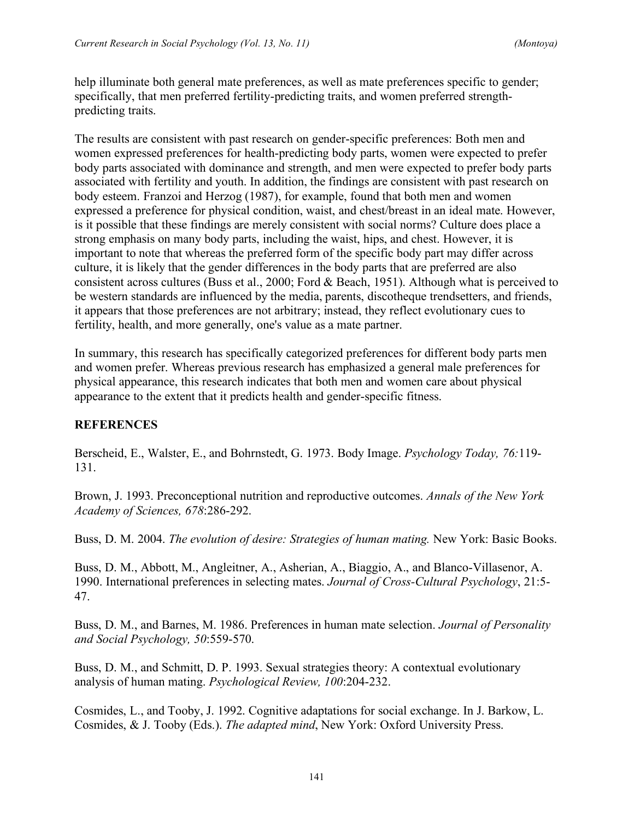help illuminate both general mate preferences, as well as mate preferences specific to gender; specifically, that men preferred fertility-predicting traits, and women preferred strengthpredicting traits.

The results are consistent with past research on gender-specific preferences: Both men and women expressed preferences for health-predicting body parts, women were expected to prefer body parts associated with dominance and strength, and men were expected to prefer body parts associated with fertility and youth. In addition, the findings are consistent with past research on body esteem. Franzoi and Herzog (1987), for example, found that both men and women expressed a preference for physical condition, waist, and chest/breast in an ideal mate. However, is it possible that these findings are merely consistent with social norms? Culture does place a strong emphasis on many body parts, including the waist, hips, and chest. However, it is important to note that whereas the preferred form of the specific body part may differ across culture, it is likely that the gender differences in the body parts that are preferred are also consistent across cultures (Buss et al., 2000; Ford & Beach, 1951). Although what is perceived to be western standards are influenced by the media, parents, discotheque trendsetters, and friends, it appears that those preferences are not arbitrary; instead, they reflect evolutionary cues to fertility, health, and more generally, one's value as a mate partner.

In summary, this research has specifically categorized preferences for different body parts men and women prefer. Whereas previous research has emphasized a general male preferences for physical appearance, this research indicates that both men and women care about physical appearance to the extent that it predicts health and gender-specific fitness.

### **REFERENCES**

Berscheid, E., Walster, E., and Bohrnstedt, G. 1973. Body Image. *Psychology Today, 76:*119- 131.

Brown, J. 1993. Preconceptional nutrition and reproductive outcomes. *Annals of the New York Academy of Sciences, 678*:286-292.

Buss, D. M. 2004. *The evolution of desire: Strategies of human mating.* New York: Basic Books.

Buss, D. M., Abbott, M., Angleitner, A., Asherian, A., Biaggio, A., and Blanco-Villasenor, A. 1990. International preferences in selecting mates. *Journal of Cross-Cultural Psychology*, 21:5- 47.

Buss, D. M., and Barnes, M. 1986. Preferences in human mate selection. *Journal of Personality and Social Psychology, 50*:559-570.

Buss, D. M., and Schmitt, D. P. 1993. Sexual strategies theory: A contextual evolutionary analysis of human mating. *Psychological Review, 100*:204-232.

Cosmides, L., and Tooby, J. 1992. Cognitive adaptations for social exchange. In J. Barkow, L. Cosmides, & J. Tooby (Eds.). *The adapted mind*, New York: Oxford University Press.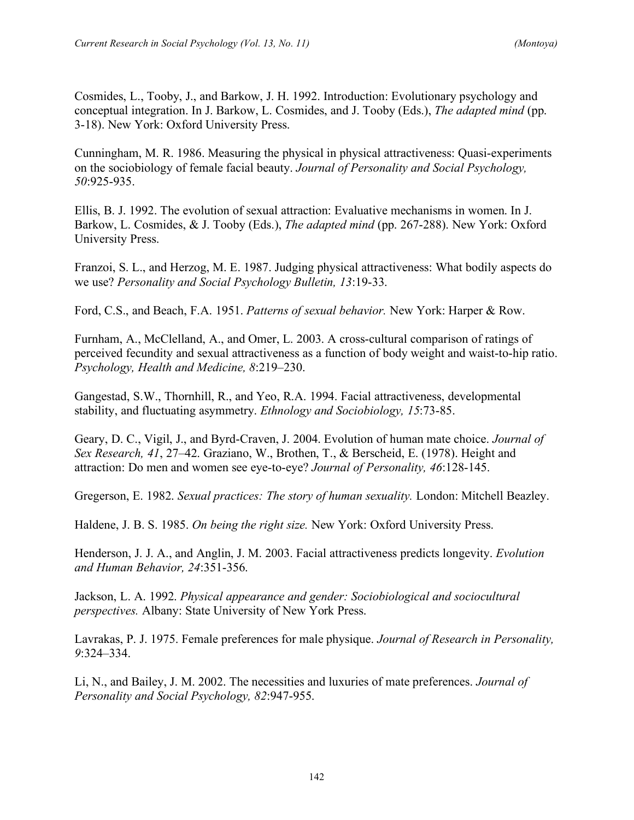Cosmides, L., Tooby, J., and Barkow, J. H. 1992. Introduction: Evolutionary psychology and conceptual integration. In J. Barkow, L. Cosmides, and J. Tooby (Eds.), *The adapted mind* (pp. 3-18). New York: Oxford University Press.

Cunningham, M. R. 1986. Measuring the physical in physical attractiveness: Quasi-experiments on the sociobiology of female facial beauty. *Journal of Personality and Social Psychology, 50*:925-935.

Ellis, B. J. 1992. The evolution of sexual attraction: Evaluative mechanisms in women. In J. Barkow, L. Cosmides, & J. Tooby (Eds.), *The adapted mind* (pp. 267-288). New York: Oxford University Press.

Franzoi, S. L., and Herzog, M. E. 1987. Judging physical attractiveness: What bodily aspects do we use? *Personality and Social Psychology Bulletin, 13*:19-33.

Ford, C.S., and Beach, F.A. 1951. *Patterns of sexual behavior.* New York: Harper & Row.

Furnham, A., McClelland, A., and Omer, L. 2003. A cross-cultural comparison of ratings of perceived fecundity and sexual attractiveness as a function of body weight and waist-to-hip ratio. *Psychology, Health and Medicine, 8*:219–230.

Gangestad, S.W., Thornhill, R., and Yeo, R.A. 1994. Facial attractiveness, developmental stability, and fluctuating asymmetry. *Ethnology and Sociobiology, 15*:73-85.

Geary, D. C., Vigil, J., and Byrd-Craven, J. 2004. Evolution of human mate choice. *Journal of Sex Research, 41*, 27–42. Graziano, W., Brothen, T., & Berscheid, E. (1978). Height and attraction: Do men and women see eye-to-eye? *Journal of Personality, 46*:128-145.

Gregerson, E. 1982. *Sexual practices: The story of human sexuality.* London: Mitchell Beazley.

Haldene, J. B. S. 1985. *On being the right size.* New York: Oxford University Press.

Henderson, J. J. A., and Anglin, J. M. 2003. Facial attractiveness predicts longevity. *Evolution and Human Behavior, 24*:351-356.

Jackson, L. A. 1992. *Physical appearance and gender: Sociobiological and sociocultural perspectives.* Albany: State University of New York Press.

Lavrakas, P. J. 1975. Female preferences for male physique. *Journal of Research in Personality, 9*:324–334.

Li, N., and Bailey, J. M. 2002. The necessities and luxuries of mate preferences. *Journal of Personality and Social Psychology, 82*:947-955.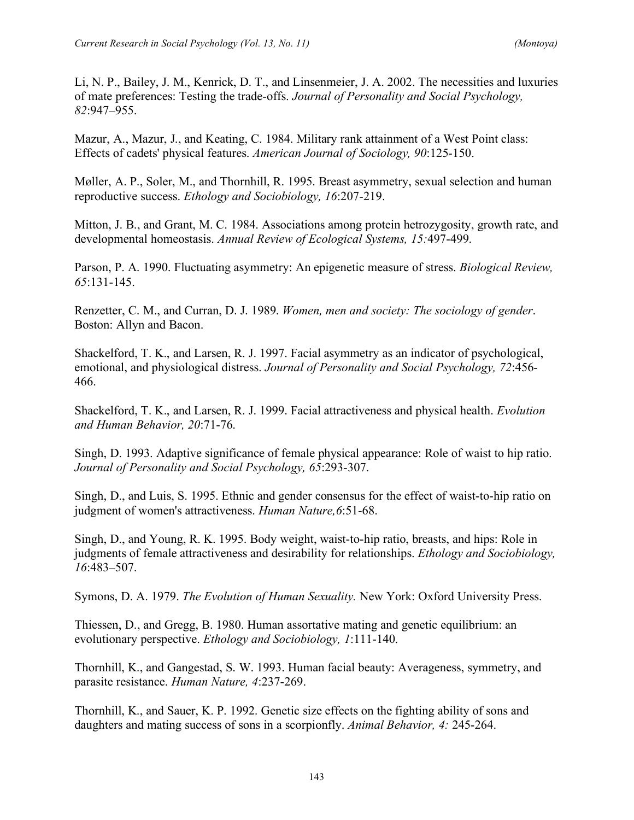Li, N. P., Bailey, J. M., Kenrick, D. T., and Linsenmeier, J. A. 2002. The necessities and luxuries of mate preferences: Testing the trade-offs. *Journal of Personality and Social Psychology, 82*:947–955.

Mazur, A., Mazur, J., and Keating, C. 1984. Military rank attainment of a West Point class: Effects of cadets' physical features. *American Journal of Sociology, 90*:125-150.

Møller, A. P., Soler, M., and Thornhill, R. 1995. Breast asymmetry, sexual selection and human reproductive success. *Ethology and Sociobiology, 16*:207-219.

Mitton, J. B., and Grant, M. C. 1984. Associations among protein hetrozygosity, growth rate, and developmental homeostasis. *Annual Review of Ecological Systems, 15:*497-499.

Parson, P. A. 1990. Fluctuating asymmetry: An epigenetic measure of stress. *Biological Review, 65*:131-145.

Renzetter, C. M., and Curran, D. J. 1989. *Women, men and society: The sociology of gender*. Boston: Allyn and Bacon.

Shackelford, T. K., and Larsen, R. J. 1997. Facial asymmetry as an indicator of psychological, emotional, and physiological distress. *Journal of Personality and Social Psychology, 72*:456- 466.

Shackelford, T. K., and Larsen, R. J. 1999. Facial attractiveness and physical health. *Evolution and Human Behavior, 20*:71-76.

Singh, D. 1993. Adaptive significance of female physical appearance: Role of waist to hip ratio. *Journal of Personality and Social Psychology, 65*:293-307.

Singh, D., and Luis, S. 1995. Ethnic and gender consensus for the effect of waist-to-hip ratio on judgment of women's attractiveness. *Human Nature,6*:51-68.

Singh, D., and Young, R. K. 1995. Body weight, waist-to-hip ratio, breasts, and hips: Role in judgments of female attractiveness and desirability for relationships. *Ethology and Sociobiology, 16*:483–507.

Symons, D. A. 1979. *The Evolution of Human Sexuality.* New York: Oxford University Press.

Thiessen, D., and Gregg, B. 1980. Human assortative mating and genetic equilibrium: an evolutionary perspective. *Ethology and Sociobiology, 1*:111-140.

Thornhill, K., and Gangestad, S. W. 1993. Human facial beauty: Averageness, symmetry, and parasite resistance. *Human Nature, 4*:237-269.

Thornhill, K., and Sauer, K. P. 1992. Genetic size effects on the fighting ability of sons and daughters and mating success of sons in a scorpionfly. *Animal Behavior, 4:* 245-264.